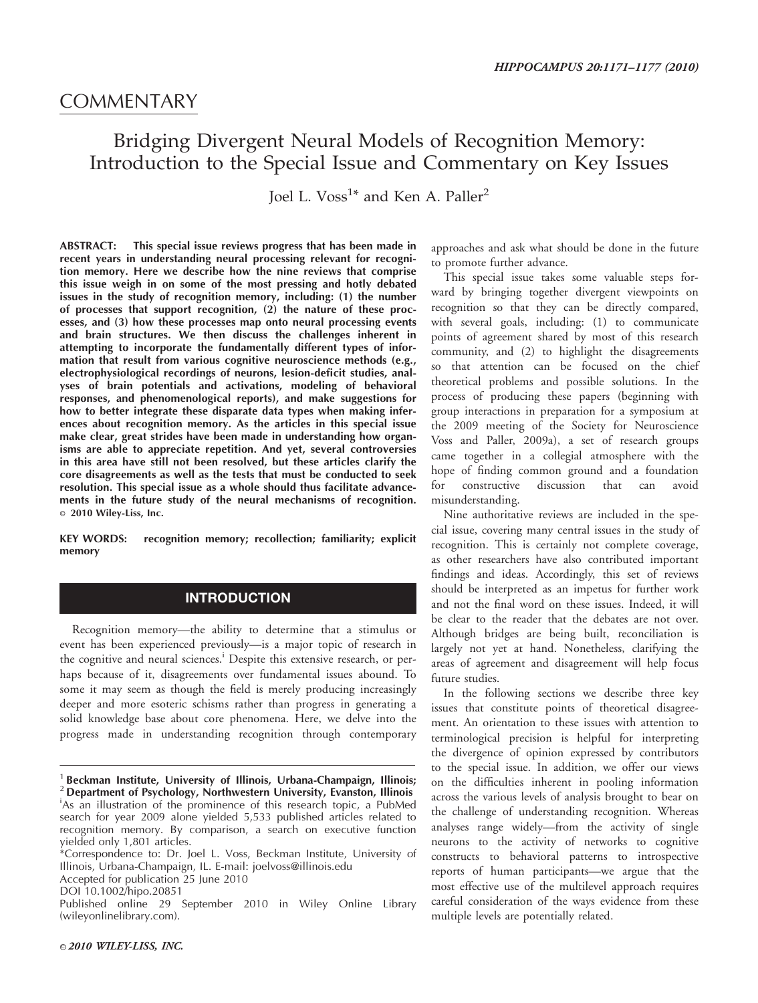# Bridging Divergent Neural Models of Recognition Memory: Introduction to the Special Issue and Commentary on Key Issues

Joel L. Voss<sup>1\*</sup> and Ken A. Paller<sup>2</sup>

ABSTRACT: This special issue reviews progress that has been made in recent years in understanding neural processing relevant for recognition memory. Here we describe how the nine reviews that comprise this issue weigh in on some of the most pressing and hotly debated issues in the study of recognition memory, including: (1) the number of processes that support recognition, (2) the nature of these processes, and (3) how these processes map onto neural processing events and brain structures. We then discuss the challenges inherent in attempting to incorporate the fundamentally different types of information that result from various cognitive neuroscience methods (e.g., electrophysiological recordings of neurons, lesion-deficit studies, analyses of brain potentials and activations, modeling of behavioral responses, and phenomenological reports), and make suggestions for how to better integrate these disparate data types when making inferences about recognition memory. As the articles in this special issue make clear, great strides have been made in understanding how organisms are able to appreciate repetition. And yet, several controversies in this area have still not been resolved, but these articles clarify the core disagreements as well as the tests that must be conducted to seek resolution. This special issue as a whole should thus facilitate advancements in the future study of the neural mechanisms of recognition.  $\circ$  2010 Wiley-Liss, Inc.

KEY WORDS: recognition memory; recollection; familiarity; explicit memory

#### INTRODUCTION

Recognition memory—the ability to determine that a stimulus or event has been experienced previously—is a major topic of research in the cognitive and neural sciences.<sup>i</sup> Despite this extensive research, or perhaps because of it, disagreements over fundamental issues abound. To some it may seem as though the field is merely producing increasingly deeper and more esoteric schisms rather than progress in generating a solid knowledge base about core phenomena. Here, we delve into the progress made in understanding recognition through contemporary

\*Correspondence to: Dr. Joel L. Voss, Beckman Institute, University of Illinois, Urbana-Champaign, IL. E-mail: joelvoss@illinois.edu

Accepted for publication 25 June 2010

DOI 10.1002/hipo.20851

Published online 29 September 2010 in Wiley Online Library (wileyonlinelibrary.com).

approaches and ask what should be done in the future to promote further advance.

This special issue takes some valuable steps forward by bringing together divergent viewpoints on recognition so that they can be directly compared, with several goals, including: (1) to communicate points of agreement shared by most of this research community, and (2) to highlight the disagreements so that attention can be focused on the chief theoretical problems and possible solutions. In the process of producing these papers (beginning with group interactions in preparation for a symposium at the 2009 meeting of the Society for Neuroscience Voss and Paller, 2009a), a set of research groups came together in a collegial atmosphere with the hope of finding common ground and a foundation for constructive discussion that can avoid misunderstanding.

Nine authoritative reviews are included in the special issue, covering many central issues in the study of recognition. This is certainly not complete coverage, as other researchers have also contributed important findings and ideas. Accordingly, this set of reviews should be interpreted as an impetus for further work and not the final word on these issues. Indeed, it will be clear to the reader that the debates are not over. Although bridges are being built, reconciliation is largely not yet at hand. Nonetheless, clarifying the areas of agreement and disagreement will help focus future studies.

In the following sections we describe three key issues that constitute points of theoretical disagreement. An orientation to these issues with attention to terminological precision is helpful for interpreting the divergence of opinion expressed by contributors to the special issue. In addition, we offer our views on the difficulties inherent in pooling information across the various levels of analysis brought to bear on the challenge of understanding recognition. Whereas analyses range widely—from the activity of single neurons to the activity of networks to cognitive constructs to behavioral patterns to introspective reports of human participants—we argue that the most effective use of the multilevel approach requires careful consideration of the ways evidence from these multiple levels are potentially related.

<sup>&</sup>lt;sup>1</sup> Beckman Institute, University of Illinois, Urbana-Champaign, Illinois;  $2$  Department of Psychology, Northwestern University, Evanston, Illinois As an illustration of the prominence of this research topic, a PubMed search for year 2009 alone yielded 5,533 published articles related to recognition memory. By comparison, a search on executive function yielded only 1,801 articles.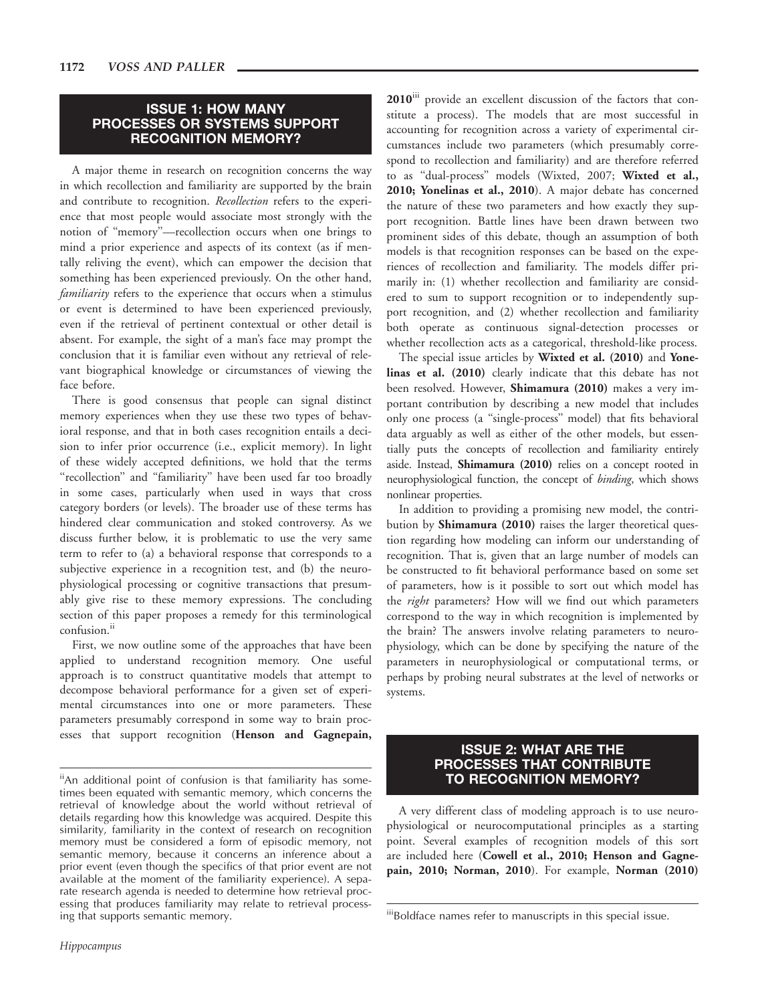## ISSUE 1: HOW MANY PROCESSES OR SYSTEMS SUPPORT RECOGNITION MEMORY?

A major theme in research on recognition concerns the way in which recollection and familiarity are supported by the brain and contribute to recognition. Recollection refers to the experience that most people would associate most strongly with the notion of ''memory''—recollection occurs when one brings to mind a prior experience and aspects of its context (as if mentally reliving the event), which can empower the decision that something has been experienced previously. On the other hand, familiarity refers to the experience that occurs when a stimulus or event is determined to have been experienced previously, even if the retrieval of pertinent contextual or other detail is absent. For example, the sight of a man's face may prompt the conclusion that it is familiar even without any retrieval of relevant biographical knowledge or circumstances of viewing the face before.

There is good consensus that people can signal distinct memory experiences when they use these two types of behavioral response, and that in both cases recognition entails a decision to infer prior occurrence (i.e., explicit memory). In light of these widely accepted definitions, we hold that the terms "recollection" and "familiarity" have been used far too broadly in some cases, particularly when used in ways that cross category borders (or levels). The broader use of these terms has hindered clear communication and stoked controversy. As we discuss further below, it is problematic to use the very same term to refer to (a) a behavioral response that corresponds to a subjective experience in a recognition test, and (b) the neurophysiological processing or cognitive transactions that presumably give rise to these memory expressions. The concluding section of this paper proposes a remedy for this terminological confusion.<sup>ii</sup>

First, we now outline some of the approaches that have been applied to understand recognition memory. One useful approach is to construct quantitative models that attempt to decompose behavioral performance for a given set of experimental circumstances into one or more parameters. These parameters presumably correspond in some way to brain processes that support recognition (Henson and Gagnepain,

Hippocampus

2010<sup>iii</sup> provide an excellent discussion of the factors that constitute a process). The models that are most successful in accounting for recognition across a variety of experimental circumstances include two parameters (which presumably correspond to recollection and familiarity) and are therefore referred to as ''dual-process'' models (Wixted, 2007; Wixted et al., 2010; Yonelinas et al., 2010). A major debate has concerned the nature of these two parameters and how exactly they support recognition. Battle lines have been drawn between two prominent sides of this debate, though an assumption of both models is that recognition responses can be based on the experiences of recollection and familiarity. The models differ primarily in: (1) whether recollection and familiarity are considered to sum to support recognition or to independently support recognition, and (2) whether recollection and familiarity both operate as continuous signal-detection processes or whether recollection acts as a categorical, threshold-like process.

The special issue articles by Wixted et al. (2010) and Yonelinas et al. (2010) clearly indicate that this debate has not been resolved. However, Shimamura (2010) makes a very important contribution by describing a new model that includes only one process (a ''single-process'' model) that fits behavioral data arguably as well as either of the other models, but essentially puts the concepts of recollection and familiarity entirely aside. Instead, Shimamura (2010) relies on a concept rooted in neurophysiological function, the concept of binding, which shows nonlinear properties.

In addition to providing a promising new model, the contribution by **Shimamura** (2010) raises the larger theoretical question regarding how modeling can inform our understanding of recognition. That is, given that an large number of models can be constructed to fit behavioral performance based on some set of parameters, how is it possible to sort out which model has the right parameters? How will we find out which parameters correspond to the way in which recognition is implemented by the brain? The answers involve relating parameters to neurophysiology, which can be done by specifying the nature of the parameters in neurophysiological or computational terms, or perhaps by probing neural substrates at the level of networks or systems.

#### ISSUE 2: WHAT ARE THE PROCESSES THAT CONTRIBUTE TO RECOGNITION MEMORY?

A very different class of modeling approach is to use neurophysiological or neurocomputational principles as a starting point. Several examples of recognition models of this sort are included here (Cowell et al., 2010; Henson and Gagnepain, 2010; Norman, 2010). For example, Norman (2010)

i<sup>i</sup>An additional point of confusion is that familiarity has sometimes been equated with semantic memory, which concerns the retrieval of knowledge about the world without retrieval of details regarding how this knowledge was acquired. Despite this similarity, familiarity in the context of research on recognition memory must be considered a form of episodic memory, not semantic memory, because it concerns an inference about a prior event (even though the specifics of that prior event are not available at the moment of the familiarity experience). A separate research agenda is needed to determine how retrieval processing that produces familiarity may relate to retrieval process-<br>ing that supports semantic memory.

iiiBoldface names refer to manuscripts in this special issue.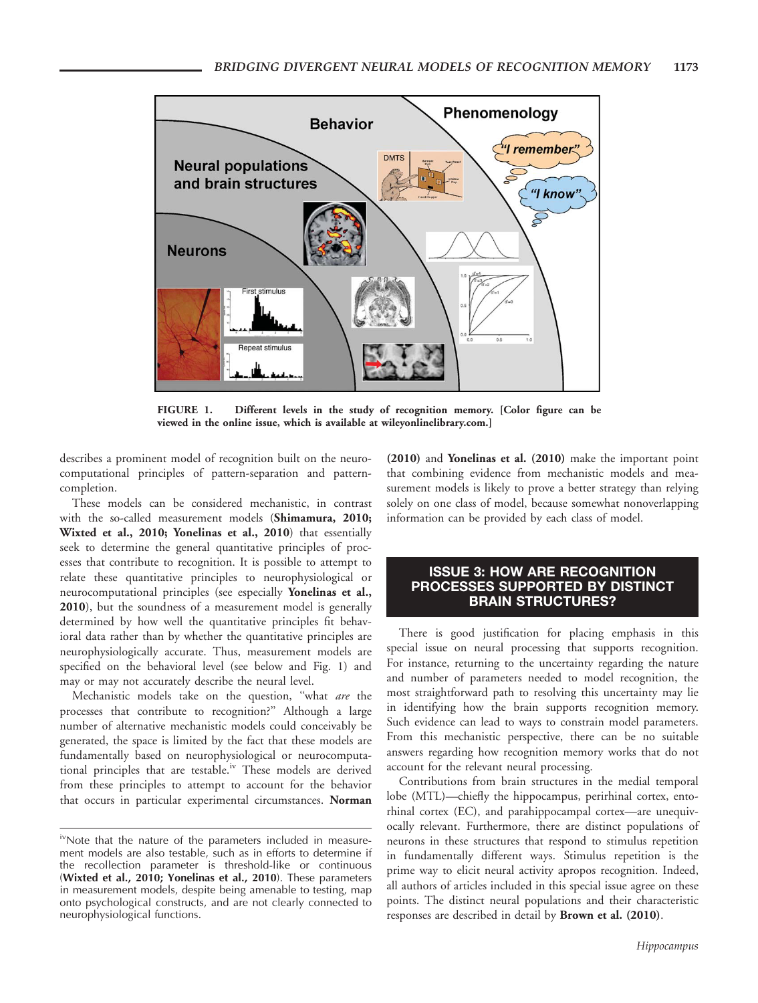

FIGURE 1. Different levels in the study of recognition memory. [Color figure can be viewed in the online issue, which is available at wileyonlinelibrary.com.]

describes a prominent model of recognition built on the neurocomputational principles of pattern-separation and patterncompletion.

These models can be considered mechanistic, in contrast with the so-called measurement models (Shimamura, 2010; Wixted et al., 2010; Yonelinas et al., 2010) that essentially seek to determine the general quantitative principles of processes that contribute to recognition. It is possible to attempt to relate these quantitative principles to neurophysiological or neurocomputational principles (see especially Yonelinas et al., 2010), but the soundness of a measurement model is generally determined by how well the quantitative principles fit behavioral data rather than by whether the quantitative principles are neurophysiologically accurate. Thus, measurement models are specified on the behavioral level (see below and Fig. 1) and may or may not accurately describe the neural level.

Mechanistic models take on the question, ''what are the processes that contribute to recognition?'' Although a large number of alternative mechanistic models could conceivably be generated, the space is limited by the fact that these models are fundamentally based on neurophysiological or neurocomputational principles that are testable.<sup>iv</sup> These models are derived from these principles to attempt to account for the behavior that occurs in particular experimental circumstances. Norman (2010) and Yonelinas et al. (2010) make the important point that combining evidence from mechanistic models and measurement models is likely to prove a better strategy than relying solely on one class of model, because somewhat nonoverlapping information can be provided by each class of model.

## ISSUE 3: HOW ARE RECOGNITION PROCESSES SUPPORTED BY DISTINCT BRAIN STRUCTURES?

There is good justification for placing emphasis in this special issue on neural processing that supports recognition. For instance, returning to the uncertainty regarding the nature and number of parameters needed to model recognition, the most straightforward path to resolving this uncertainty may lie in identifying how the brain supports recognition memory. Such evidence can lead to ways to constrain model parameters. From this mechanistic perspective, there can be no suitable answers regarding how recognition memory works that do not account for the relevant neural processing.

Contributions from brain structures in the medial temporal lobe (MTL)—chiefly the hippocampus, perirhinal cortex, entorhinal cortex (EC), and parahippocampal cortex—are unequivocally relevant. Furthermore, there are distinct populations of neurons in these structures that respond to stimulus repetition in fundamentally different ways. Stimulus repetition is the prime way to elicit neural activity apropos recognition. Indeed, all authors of articles included in this special issue agree on these points. The distinct neural populations and their characteristic responses are described in detail by Brown et al. (2010).

ivNote that the nature of the parameters included in measurement models are also testable, such as in efforts to determine if the recollection parameter is threshold-like or continuous (Wixted et al., 2010; Yonelinas et al., 2010). These parameters in measurement models, despite being amenable to testing, map onto psychological constructs, and are not clearly connected to neurophysiological functions.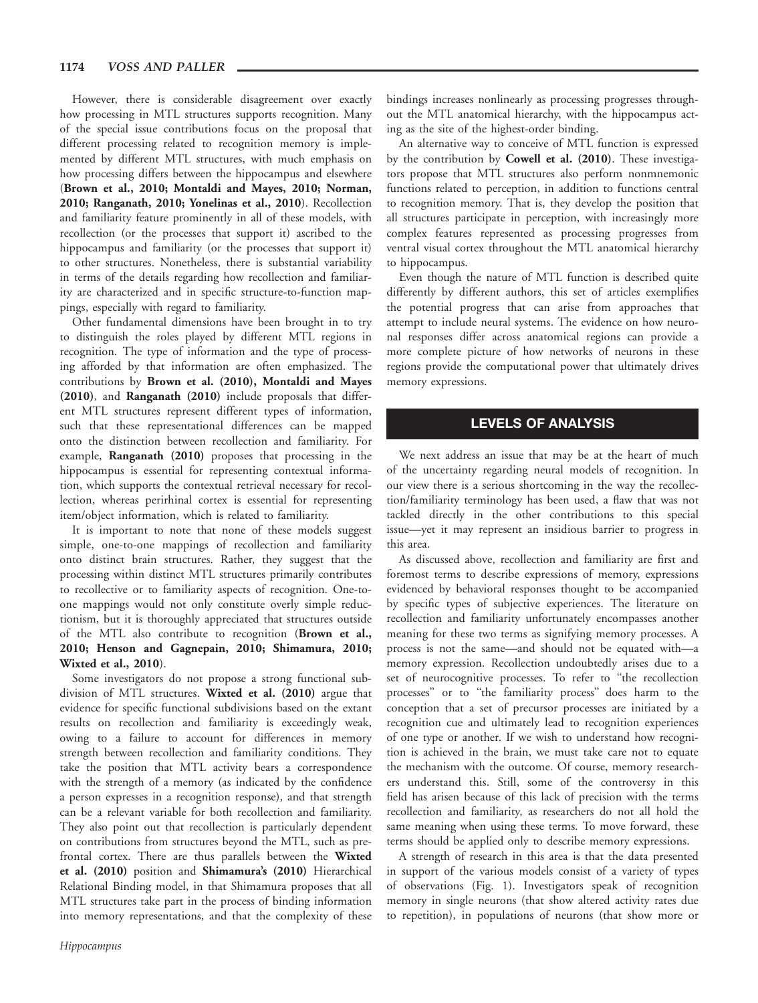However, there is considerable disagreement over exactly how processing in MTL structures supports recognition. Many of the special issue contributions focus on the proposal that different processing related to recognition memory is implemented by different MTL structures, with much emphasis on how processing differs between the hippocampus and elsewhere (Brown et al., 2010; Montaldi and Mayes, 2010; Norman, 2010; Ranganath, 2010; Yonelinas et al., 2010). Recollection and familiarity feature prominently in all of these models, with recollection (or the processes that support it) ascribed to the hippocampus and familiarity (or the processes that support it) to other structures. Nonetheless, there is substantial variability in terms of the details regarding how recollection and familiarity are characterized and in specific structure-to-function mappings, especially with regard to familiarity.

Other fundamental dimensions have been brought in to try to distinguish the roles played by different MTL regions in recognition. The type of information and the type of processing afforded by that information are often emphasized. The contributions by Brown et al. (2010), Montaldi and Mayes (2010), and Ranganath (2010) include proposals that different MTL structures represent different types of information, such that these representational differences can be mapped onto the distinction between recollection and familiarity. For example, Ranganath (2010) proposes that processing in the hippocampus is essential for representing contextual information, which supports the contextual retrieval necessary for recollection, whereas perirhinal cortex is essential for representing item/object information, which is related to familiarity.

It is important to note that none of these models suggest simple, one-to-one mappings of recollection and familiarity onto distinct brain structures. Rather, they suggest that the processing within distinct MTL structures primarily contributes to recollective or to familiarity aspects of recognition. One-toone mappings would not only constitute overly simple reductionism, but it is thoroughly appreciated that structures outside of the MTL also contribute to recognition (Brown et al., 2010; Henson and Gagnepain, 2010; Shimamura, 2010; Wixted et al., 2010).

Some investigators do not propose a strong functional subdivision of MTL structures. Wixted et al. (2010) argue that evidence for specific functional subdivisions based on the extant results on recollection and familiarity is exceedingly weak, owing to a failure to account for differences in memory strength between recollection and familiarity conditions. They take the position that MTL activity bears a correspondence with the strength of a memory (as indicated by the confidence a person expresses in a recognition response), and that strength can be a relevant variable for both recollection and familiarity. They also point out that recollection is particularly dependent on contributions from structures beyond the MTL, such as prefrontal cortex. There are thus parallels between the Wixted et al. (2010) position and Shimamura's (2010) Hierarchical Relational Binding model, in that Shimamura proposes that all MTL structures take part in the process of binding information into memory representations, and that the complexity of these

bindings increases nonlinearly as processing progresses throughout the MTL anatomical hierarchy, with the hippocampus acting as the site of the highest-order binding.

An alternative way to conceive of MTL function is expressed by the contribution by Cowell et al. (2010). These investigators propose that MTL structures also perform nonmnemonic functions related to perception, in addition to functions central to recognition memory. That is, they develop the position that all structures participate in perception, with increasingly more complex features represented as processing progresses from ventral visual cortex throughout the MTL anatomical hierarchy to hippocampus.

Even though the nature of MTL function is described quite differently by different authors, this set of articles exemplifies the potential progress that can arise from approaches that attempt to include neural systems. The evidence on how neuronal responses differ across anatomical regions can provide a more complete picture of how networks of neurons in these regions provide the computational power that ultimately drives memory expressions.

## LEVELS OF ANALYSIS

We next address an issue that may be at the heart of much of the uncertainty regarding neural models of recognition. In our view there is a serious shortcoming in the way the recollection/familiarity terminology has been used, a flaw that was not tackled directly in the other contributions to this special issue—yet it may represent an insidious barrier to progress in this area.

As discussed above, recollection and familiarity are first and foremost terms to describe expressions of memory, expressions evidenced by behavioral responses thought to be accompanied by specific types of subjective experiences. The literature on recollection and familiarity unfortunately encompasses another meaning for these two terms as signifying memory processes. A process is not the same—and should not be equated with—a memory expression. Recollection undoubtedly arises due to a set of neurocognitive processes. To refer to ''the recollection processes'' or to ''the familiarity process'' does harm to the conception that a set of precursor processes are initiated by a recognition cue and ultimately lead to recognition experiences of one type or another. If we wish to understand how recognition is achieved in the brain, we must take care not to equate the mechanism with the outcome. Of course, memory researchers understand this. Still, some of the controversy in this field has arisen because of this lack of precision with the terms recollection and familiarity, as researchers do not all hold the same meaning when using these terms. To move forward, these terms should be applied only to describe memory expressions.

A strength of research in this area is that the data presented in support of the various models consist of a variety of types of observations (Fig. 1). Investigators speak of recognition memory in single neurons (that show altered activity rates due to repetition), in populations of neurons (that show more or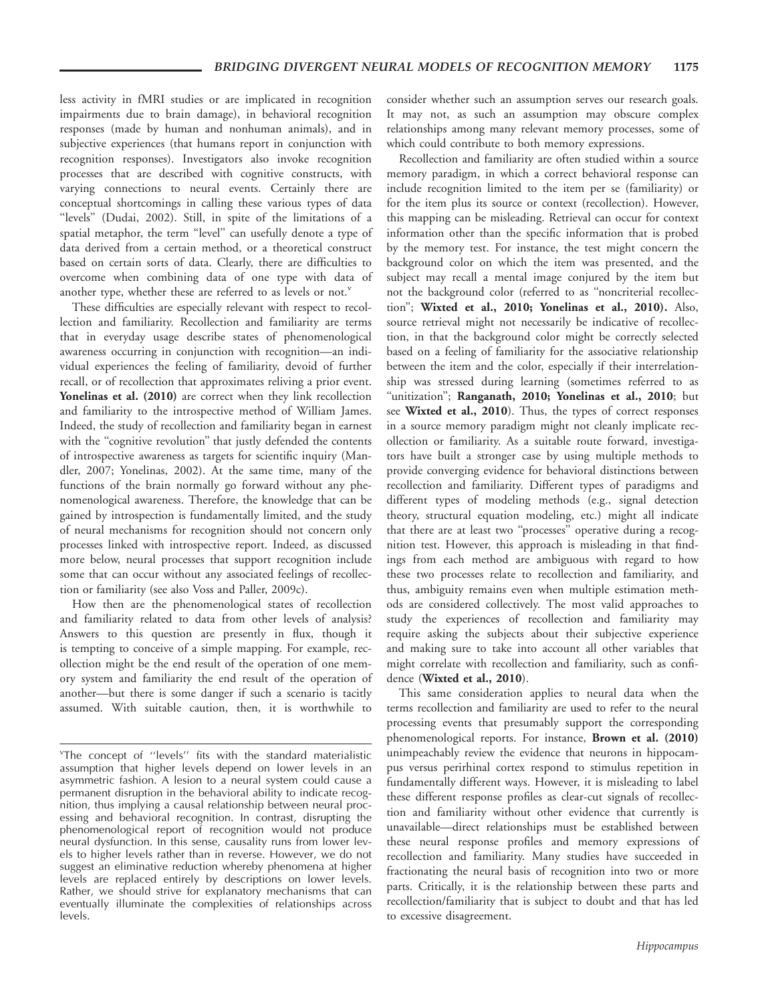less activity in fMRI studies or are implicated in recognition impairments due to brain damage), in behavioral recognition responses (made by human and nonhuman animals), and in subjective experiences (that humans report in conjunction with recognition responses). Investigators also invoke recognition processes that are described with cognitive constructs, with varying connections to neural events. Certainly there are conceptual shortcomings in calling these various types of data "levels" (Dudai, 2002). Still, in spite of the limitations of a spatial metaphor, the term ''level'' can usefully denote a type of data derived from a certain method, or a theoretical construct based on certain sorts of data. Clearly, there are difficulties to overcome when combining data of one type with data of another type, whether these are referred to as levels or not.<sup>v</sup>

These difficulties are especially relevant with respect to recollection and familiarity. Recollection and familiarity are terms that in everyday usage describe states of phenomenological awareness occurring in conjunction with recognition—an individual experiences the feeling of familiarity, devoid of further recall, or of recollection that approximates reliving a prior event. Yonelinas et al. (2010) are correct when they link recollection and familiarity to the introspective method of William James. Indeed, the study of recollection and familiarity began in earnest with the "cognitive revolution" that justly defended the contents of introspective awareness as targets for scientific inquiry (Mandler, 2007; Yonelinas, 2002). At the same time, many of the functions of the brain normally go forward without any phenomenological awareness. Therefore, the knowledge that can be gained by introspection is fundamentally limited, and the study of neural mechanisms for recognition should not concern only processes linked with introspective report. Indeed, as discussed more below, neural processes that support recognition include some that can occur without any associated feelings of recollection or familiarity (see also Voss and Paller, 2009c).

How then are the phenomenological states of recollection and familiarity related to data from other levels of analysis? Answers to this question are presently in flux, though it is tempting to conceive of a simple mapping. For example, recollection might be the end result of the operation of one memory system and familiarity the end result of the operation of another—but there is some danger if such a scenario is tacitly assumed. With suitable caution, then, it is worthwhile to

consider whether such an assumption serves our research goals. It may not, as such an assumption may obscure complex relationships among many relevant memory processes, some of which could contribute to both memory expressions.

Recollection and familiarity are often studied within a source memory paradigm, in which a correct behavioral response can include recognition limited to the item per se (familiarity) or for the item plus its source or context (recollection). However, this mapping can be misleading. Retrieval can occur for context information other than the specific information that is probed by the memory test. For instance, the test might concern the background color on which the item was presented, and the subject may recall a mental image conjured by the item but not the background color (referred to as ''noncriterial recollection''; Wixted et al., 2010; Yonelinas et al., 2010). Also, source retrieval might not necessarily be indicative of recollection, in that the background color might be correctly selected based on a feeling of familiarity for the associative relationship between the item and the color, especially if their interrelationship was stressed during learning (sometimes referred to as "unitization"; Ranganath, 2010; Yonelinas et al., 2010; but see Wixted et al., 2010). Thus, the types of correct responses in a source memory paradigm might not cleanly implicate recollection or familiarity. As a suitable route forward, investigators have built a stronger case by using multiple methods to provide converging evidence for behavioral distinctions between recollection and familiarity. Different types of paradigms and different types of modeling methods (e.g., signal detection theory, structural equation modeling, etc.) might all indicate that there are at least two ''processes'' operative during a recognition test. However, this approach is misleading in that findings from each method are ambiguous with regard to how these two processes relate to recollection and familiarity, and thus, ambiguity remains even when multiple estimation methods are considered collectively. The most valid approaches to study the experiences of recollection and familiarity may require asking the subjects about their subjective experience and making sure to take into account all other variables that might correlate with recollection and familiarity, such as confidence (Wixted et al., 2010).

This same consideration applies to neural data when the terms recollection and familiarity are used to refer to the neural processing events that presumably support the corresponding phenomenological reports. For instance, Brown et al. (2010) unimpeachably review the evidence that neurons in hippocampus versus perirhinal cortex respond to stimulus repetition in fundamentally different ways. However, it is misleading to label these different response profiles as clear-cut signals of recollection and familiarity without other evidence that currently is unavailable—direct relationships must be established between these neural response profiles and memory expressions of recollection and familiarity. Many studies have succeeded in fractionating the neural basis of recognition into two or more parts. Critically, it is the relationship between these parts and recollection/familiarity that is subject to doubt and that has led to excessive disagreement.

<sup>&</sup>lt;sup>v</sup>The concept of "levels" fits with the standard materialistic assumption that higher levels depend on lower levels in an asymmetric fashion. A lesion to a neural system could cause a permanent disruption in the behavioral ability to indicate recognition, thus implying a causal relationship between neural processing and behavioral recognition. In contrast, disrupting the phenomenological report of recognition would not produce neural dysfunction. In this sense, causality runs from lower levels to higher levels rather than in reverse. However, we do not suggest an eliminative reduction whereby phenomena at higher levels are replaced entirely by descriptions on lower levels. Rather, we should strive for explanatory mechanisms that can eventually illuminate the complexities of relationships across levels.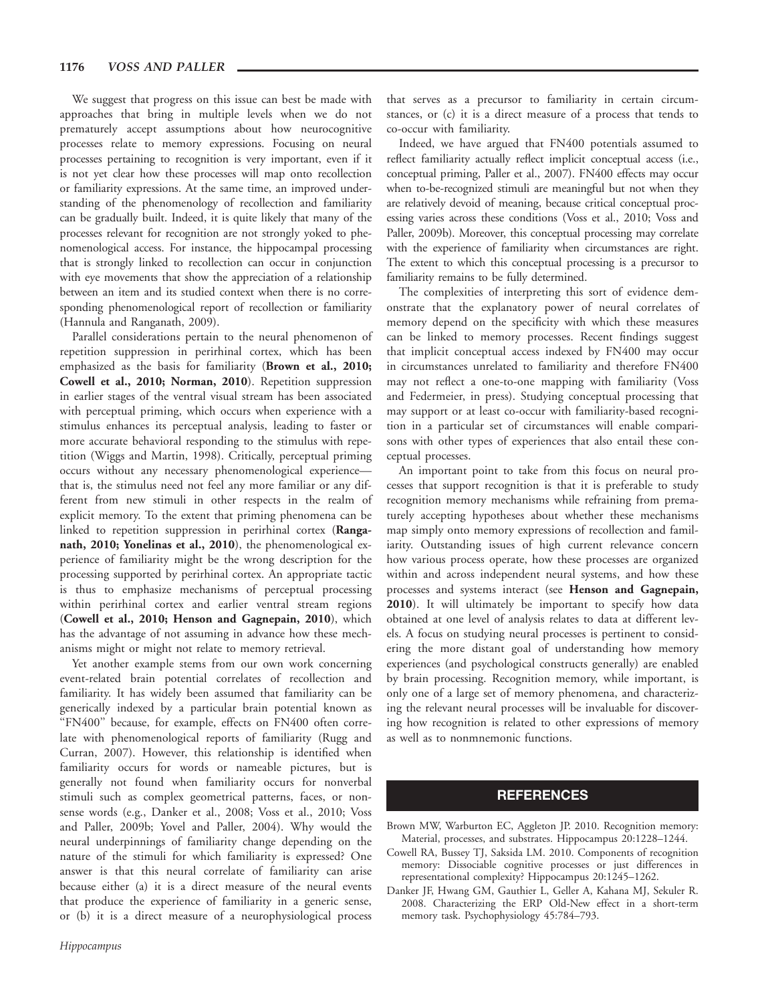We suggest that progress on this issue can best be made with approaches that bring in multiple levels when we do not prematurely accept assumptions about how neurocognitive processes relate to memory expressions. Focusing on neural processes pertaining to recognition is very important, even if it is not yet clear how these processes will map onto recollection or familiarity expressions. At the same time, an improved understanding of the phenomenology of recollection and familiarity can be gradually built. Indeed, it is quite likely that many of the processes relevant for recognition are not strongly yoked to phenomenological access. For instance, the hippocampal processing that is strongly linked to recollection can occur in conjunction with eye movements that show the appreciation of a relationship between an item and its studied context when there is no corresponding phenomenological report of recollection or familiarity (Hannula and Ranganath, 2009).

Parallel considerations pertain to the neural phenomenon of repetition suppression in perirhinal cortex, which has been emphasized as the basis for familiarity (Brown et al., 2010; Cowell et al., 2010; Norman, 2010). Repetition suppression in earlier stages of the ventral visual stream has been associated with perceptual priming, which occurs when experience with a stimulus enhances its perceptual analysis, leading to faster or more accurate behavioral responding to the stimulus with repetition (Wiggs and Martin, 1998). Critically, perceptual priming occurs without any necessary phenomenological experience that is, the stimulus need not feel any more familiar or any different from new stimuli in other respects in the realm of explicit memory. To the extent that priming phenomena can be linked to repetition suppression in perirhinal cortex (Ranganath, 2010; Yonelinas et al., 2010), the phenomenological experience of familiarity might be the wrong description for the processing supported by perirhinal cortex. An appropriate tactic is thus to emphasize mechanisms of perceptual processing within perirhinal cortex and earlier ventral stream regions (Cowell et al., 2010; Henson and Gagnepain, 2010), which has the advantage of not assuming in advance how these mechanisms might or might not relate to memory retrieval.

Yet another example stems from our own work concerning event-related brain potential correlates of recollection and familiarity. It has widely been assumed that familiarity can be generically indexed by a particular brain potential known as "FN400" because, for example, effects on FN400 often correlate with phenomenological reports of familiarity (Rugg and Curran, 2007). However, this relationship is identified when familiarity occurs for words or nameable pictures, but is generally not found when familiarity occurs for nonverbal stimuli such as complex geometrical patterns, faces, or nonsense words (e.g., Danker et al., 2008; Voss et al., 2010; Voss and Paller, 2009b; Yovel and Paller, 2004). Why would the neural underpinnings of familiarity change depending on the nature of the stimuli for which familiarity is expressed? One answer is that this neural correlate of familiarity can arise because either (a) it is a direct measure of the neural events that produce the experience of familiarity in a generic sense, or (b) it is a direct measure of a neurophysiological process

that serves as a precursor to familiarity in certain circumstances, or (c) it is a direct measure of a process that tends to co-occur with familiarity.

Indeed, we have argued that FN400 potentials assumed to reflect familiarity actually reflect implicit conceptual access (i.e., conceptual priming, Paller et al., 2007). FN400 effects may occur when to-be-recognized stimuli are meaningful but not when they are relatively devoid of meaning, because critical conceptual processing varies across these conditions (Voss et al., 2010; Voss and Paller, 2009b). Moreover, this conceptual processing may correlate with the experience of familiarity when circumstances are right. The extent to which this conceptual processing is a precursor to familiarity remains to be fully determined.

The complexities of interpreting this sort of evidence demonstrate that the explanatory power of neural correlates of memory depend on the specificity with which these measures can be linked to memory processes. Recent findings suggest that implicit conceptual access indexed by FN400 may occur in circumstances unrelated to familiarity and therefore FN400 may not reflect a one-to-one mapping with familiarity (Voss and Federmeier, in press). Studying conceptual processing that may support or at least co-occur with familiarity-based recognition in a particular set of circumstances will enable comparisons with other types of experiences that also entail these conceptual processes.

An important point to take from this focus on neural processes that support recognition is that it is preferable to study recognition memory mechanisms while refraining from prematurely accepting hypotheses about whether these mechanisms map simply onto memory expressions of recollection and familiarity. Outstanding issues of high current relevance concern how various process operate, how these processes are organized within and across independent neural systems, and how these processes and systems interact (see Henson and Gagnepain, 2010). It will ultimately be important to specify how data obtained at one level of analysis relates to data at different levels. A focus on studying neural processes is pertinent to considering the more distant goal of understanding how memory experiences (and psychological constructs generally) are enabled by brain processing. Recognition memory, while important, is only one of a large set of memory phenomena, and characterizing the relevant neural processes will be invaluable for discovering how recognition is related to other expressions of memory as well as to nonmnemonic functions.

## REFERENCES

- Brown MW, Warburton EC, Aggleton JP. 2010. Recognition memory: Material, processes, and substrates. Hippocampus 20:1228–1244.
- Cowell RA, Bussey TJ, Saksida LM. 2010. Components of recognition memory: Dissociable cognitive processes or just differences in representational complexity? Hippocampus 20:1245–1262.
- Danker JF, Hwang GM, Gauthier L, Geller A, Kahana MJ, Sekuler R. 2008. Characterizing the ERP Old-New effect in a short-term memory task. Psychophysiology 45:784–793.